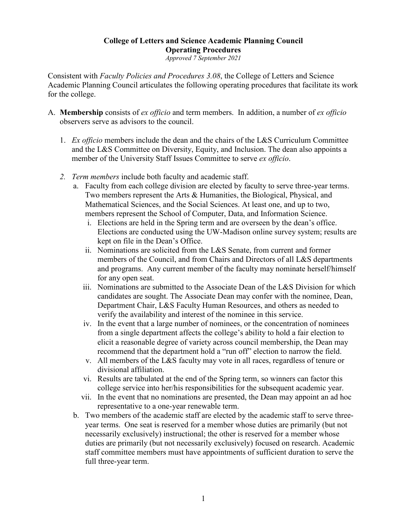# **College of Letters and Science Academic Planning Council Operating Procedures**

*Approved 7 September 2021*

Consistent with *Faculty Policies and Procedures 3.08*, the College of Letters and Science Academic Planning Council articulates the following operating procedures that facilitate its work for the college.

- A. **Membership** consists of *ex officio* and term members. In addition, a number of *ex officio*  observers serve as advisors to the council.
	- 1. *Ex officio* members include the dean and the chairs of the L&S Curriculum Committee and the L&S Committee on Diversity, Equity, and Inclusion. The dean also appoints a member of the University Staff Issues Committee to serve *ex officio*.
	- *2. Term members* include both faculty and academic staff.
		- a. Faculty from each college division are elected by faculty to serve three-year terms. Two members represent the Arts & Humanities, the Biological, Physical, and Mathematical Sciences, and the Social Sciences. At least one, and up to two, members represent the School of Computer, Data, and Information Science.
			- i. Elections are held in the Spring term and are overseen by the dean's office. Elections are conducted using the UW-Madison online survey system; results are kept on file in the Dean's Office.
			- ii. Nominations are solicited from the L&S Senate, from current and former members of the Council, and from Chairs and Directors of all L&S departments and programs. Any current member of the faculty may nominate herself/himself for any open seat.
			- iii. Nominations are submitted to the Associate Dean of the L&S Division for which candidates are sought. The Associate Dean may confer with the nominee, Dean, Department Chair, L&S Faculty Human Resources, and others as needed to verify the availability and interest of the nominee in this service.
			- iv. In the event that a large number of nominees, or the concentration of nominees from a single department affects the college's ability to hold a fair election to elicit a reasonable degree of variety across council membership, the Dean may recommend that the department hold a "run off" election to narrow the field.
			- v. All members of the L&S faculty may vote in all races, regardless of tenure or divisional affiliation.
			- vi. Results are tabulated at the end of the Spring term, so winners can factor this college service into her/his responsibilities for the subsequent academic year.
			- vii. In the event that no nominations are presented, the Dean may appoint an ad hoc representative to a one-year renewable term.
		- b. Two members of the academic staff are elected by the academic staff to serve threeyear terms. One seat is reserved for a member whose duties are primarily (but not necessarily exclusively) instructional; the other is reserved for a member whose duties are primarily (but not necessarily exclusively) focused on research. Academic staff committee members must have appointments of sufficient duration to serve the full three-year term.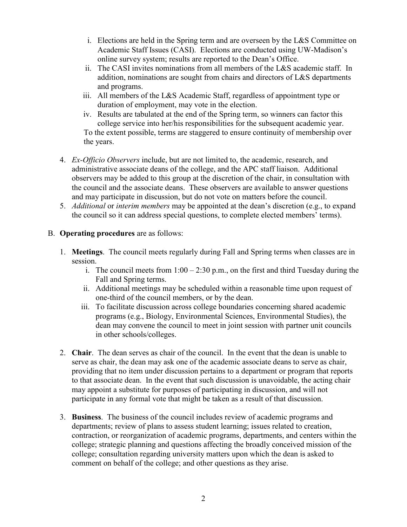- i. Elections are held in the Spring term and are overseen by the L&S Committee on Academic Staff Issues (CASI). Elections are conducted using UW-Madison's online survey system; results are reported to the Dean's Office.
- ii. The CASI invites nominations from all members of the L&S academic staff. In addition, nominations are sought from chairs and directors of L&S departments and programs.
- iii. All members of the L&S Academic Staff, regardless of appointment type or duration of employment, may vote in the election.
- iv. Results are tabulated at the end of the Spring term, so winners can factor this college service into her/his responsibilities for the subsequent academic year. To the extent possible, terms are staggered to ensure continuity of membership over the years.
- 4. *Ex-Officio Observers* include, but are not limited to, the academic, research, and administrative associate deans of the college, and the APC staff liaison. Additional observers may be added to this group at the discretion of the chair, in consultation with the council and the associate deans. These observers are available to answer questions and may participate in discussion, but do not vote on matters before the council.
- 5. *Additional* or *interim members* may be appointed at the dean's discretion (e.g., to expand the council so it can address special questions, to complete elected members' terms).

## B. **Operating procedures** are as follows:

- 1. **Meetings**. The council meets regularly during Fall and Spring terms when classes are in session.
	- i. The council meets from  $1:00 2:30$  p.m., on the first and third Tuesday during the Fall and Spring terms.
	- ii. Additional meetings may be scheduled within a reasonable time upon request of one-third of the council members, or by the dean.
	- iii. To facilitate discussion across college boundaries concerning shared academic programs (e.g., Biology, Environmental Sciences, Environmental Studies), the dean may convene the council to meet in joint session with partner unit councils in other schools/colleges.
- 2. **Chair**. The dean serves as chair of the council. In the event that the dean is unable to serve as chair, the dean may ask one of the academic associate deans to serve as chair, providing that no item under discussion pertains to a department or program that reports to that associate dean. In the event that such discussion is unavoidable, the acting chair may appoint a substitute for purposes of participating in discussion, and will not participate in any formal vote that might be taken as a result of that discussion.
- 3. **Business**. The business of the council includes review of academic programs and departments; review of plans to assess student learning; issues related to creation, contraction, or reorganization of academic programs, departments, and centers within the college; strategic planning and questions affecting the broadly conceived mission of the college; consultation regarding university matters upon which the dean is asked to comment on behalf of the college; and other questions as they arise.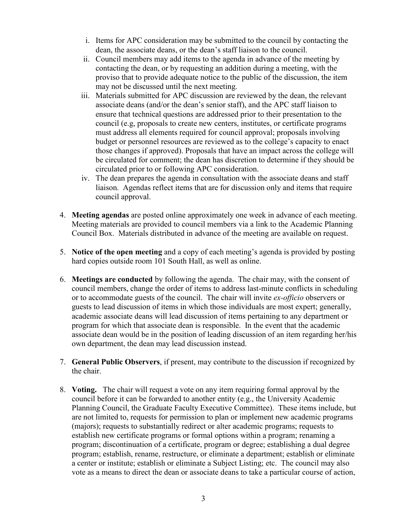- i. Items for APC consideration may be submitted to the council by contacting the dean, the associate deans, or the dean's staff liaison to the council.
- ii. Council members may add items to the agenda in advance of the meeting by contacting the dean, or by requesting an addition during a meeting, with the proviso that to provide adequate notice to the public of the discussion, the item may not be discussed until the next meeting.
- iii. Materials submitted for APC discussion are reviewed by the dean, the relevant associate deans (and/or the dean's senior staff), and the APC staff liaison to ensure that technical questions are addressed prior to their presentation to the council (e.g, proposals to create new centers, institutes, or certificate programs must address all elements required for council approval; proposals involving budget or personnel resources are reviewed as to the college's capacity to enact those changes if approved). Proposals that have an impact across the college will be circulated for comment; the dean has discretion to determine if they should be circulated prior to or following APC consideration.
- iv. The dean prepares the agenda in consultation with the associate deans and staff liaison. Agendas reflect items that are for discussion only and items that require council approval.
- 4. **Meeting agendas** are posted online approximately one week in advance of each meeting. Meeting materials are provided to council members via a link to the Academic Planning Council Box. Materials distributed in advance of the meeting are available on request.
- 5. **Notice of the open meeting** and a copy of each meeting's agenda is provided by posting hard copies outside room 101 South Hall, as well as online.
- 6. **Meetings are conducted** by following the agenda. The chair may, with the consent of council members, change the order of items to address last-minute conflicts in scheduling or to accommodate guests of the council. The chair will invite *ex-officio* observers or guests to lead discussion of items in which those individuals are most expert; generally, academic associate deans will lead discussion of items pertaining to any department or program for which that associate dean is responsible. In the event that the academic associate dean would be in the position of leading discussion of an item regarding her/his own department, the dean may lead discussion instead.
- 7. **General Public Observers**, if present, may contribute to the discussion if recognized by the chair.
- 8. **Voting.** The chair will request a vote on any item requiring formal approval by the council before it can be forwarded to another entity (e.g., the University Academic Planning Council, the Graduate Faculty Executive Committee). These items include, but are not limited to, requests for permission to plan or implement new academic programs (majors); requests to substantially redirect or alter academic programs; requests to establish new certificate programs or formal options within a program; renaming a program; discontinuation of a certificate, program or degree; establishing a dual degree program; establish, rename, restructure, or eliminate a department; establish or eliminate a center or institute; establish or eliminate a Subject Listing; etc. The council may also vote as a means to direct the dean or associate deans to take a particular course of action,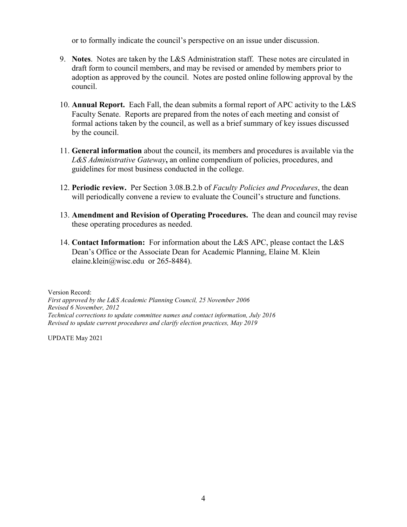or to formally indicate the council's perspective on an issue under discussion.

- 9. **Notes**. Notes are taken by the L&S Administration staff. These notes are circulated in draft form to council members, and may be revised or amended by members prior to adoption as approved by the council. Notes are posted online following approval by the council.
- 10. **Annual Report.** Each Fall, the dean submits a formal report of APC activity to the L&S Faculty Senate. Reports are prepared from the notes of each meeting and consist of formal actions taken by the council, as well as a brief summary of key issues discussed by the council.
- 11. **General information** about the council, its members and procedures is available via the *L&S Administrative Gateway***,** an online compendium of policies, procedures, and guidelines for most business conducted in the college.
- 12. **Periodic review.** Per Section 3.08.B.2.b of *Faculty Policies and Procedures*, the dean will periodically convene a review to evaluate the Council's structure and functions.
- 13. **Amendment and Revision of Operating Procedures.** The dean and council may revise these operating procedures as needed.
- 14. **Contact Information:** For information about the L&S APC, please contact the L&S Dean's Office or the Associate Dean for Academic Planning, Elaine M. Klein elaine.klein@wisc.edu or 265-8484).

Version Record: *First approved by the L&S Academic Planning Council, 25 November 2006 Revised 6 November, 2012 Technical corrections to update committee names and contact information, July 2016 Revised to update current procedures and clarify election practices, May 2019*

UPDATE May 2021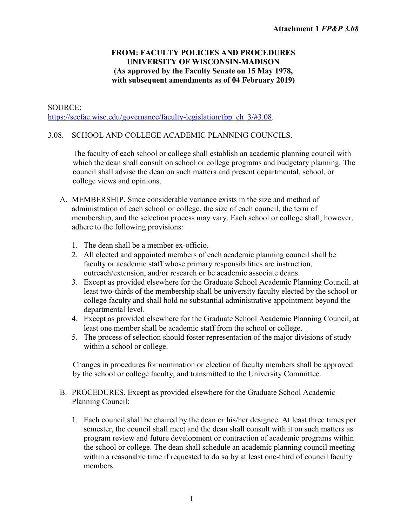## **FROM: FACULTY POLICIES AND PROCEDURES UNIVERSITY OF WISCONSIN-MADISON (As approved by the Faculty Senate on 15 May 1978, with subsequent amendments as of 04 February 2019)**

## SOURCE: [https://secfac.wisc.edu/governance/faculty-legislation/fpp\\_ch\\_3/#3.08.](https://secfac.wisc.edu/governance/faculty-legislation/fpp_ch_3/#3.08)

# 3.08. SCHOOL AND COLLEGE ACADEMIC PLANNING COUNCILS.

The faculty of each school or college shall establish an academic planning council with which the dean shall consult on school or college programs and budgetary planning. The council shall advise the dean on such matters and present departmental, school, or college views and opinions.

- A. MEMBERSHIP. Since considerable variance exists in the size and method of administration of each school or college, the size of each council, the term of membership, and the selection process may vary. Each school or college shall, however, adhere to the following provisions:
	- 1. The dean shall be a member ex-officio.
	- 2. All elected and appointed members of each academic planning council shall be faculty or academic staff whose primary responsibilities are instruction, outreach/extension, and/or research or be academic associate deans.
	- 3. Except as provided elsewhere for the Graduate School Academic Planning Council, at least two-thirds of the membership shall be university faculty elected by the school or college faculty and shall hold no substantial administrative appointment beyond the departmental level.
	- 4. Except as provided elsewhere for the Graduate School Academic Planning Council, at least one member shall be academic staff from the school or college.
	- 5. The process of selection should foster representation of the major divisions of study within a school or college.

Changes in procedures for nomination or election of faculty members shall be approved by the school or college faculty, and transmitted to the University Committee.

- B. PROCEDURES. Except as provided elsewhere for the Graduate School Academic Planning Council:
	- 1. Each council shall be chaired by the dean or his/her designee. At least three times per semester, the council shall meet and the dean shall consult with it on such matters as program review and future development or contraction of academic programs within the school or college. The dean shall schedule an academic planning council meeting within a reasonable time if requested to do so by at least one-third of council faculty members.